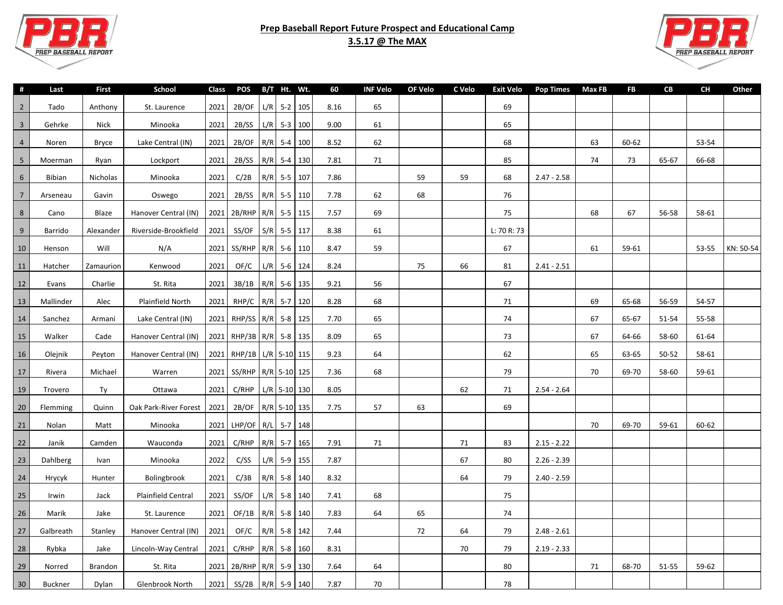



| #               | Last           | First        | School                | Class | POS B/T Ht. Wt.            |                | 60   | INF Velo | OF Velo | C Velo | Exit Velo   | Pop Times Max FB |    | <b>FB</b> | CB    | CН    | Other     |
|-----------------|----------------|--------------|-----------------------|-------|----------------------------|----------------|------|----------|---------|--------|-------------|------------------|----|-----------|-------|-------|-----------|
| $\overline{2}$  | Tado           | Anthony      | St. Laurence          | 2021  | 2B/OF                      | $L/R$ 5-2 105  | 8.16 | 65       |         |        | 69          |                  |    |           |       |       |           |
| $\overline{3}$  | Gehrke         | Nick         | Minooka               | 2021  | 2B/SS                      | $L/R$ 5-3 100  | 9.00 | 61       |         |        | 65          |                  |    |           |       |       |           |
| $\overline{4}$  | Noren          | <b>Bryce</b> | Lake Central (IN)     | 2021  | 2B/OF                      | R/R 5-4 100    | 8.52 | 62       |         |        | 68          |                  | 63 | 60-62     |       | 53-54 |           |
| 5               | Moerman        | Ryan         | Lockport              | 2021  | 2B/SS                      | $R/R$ 5-4 130  | 7.81 | 71       |         |        | 85          |                  | 74 | 73        | 65-67 | 66-68 |           |
| 6               | <b>Bibian</b>  | Nicholas     | Minooka               | 2021  | C/2B                       | R/R 5-5 107    | 7.86 |          | 59      | 59     | 68          | $2.47 - 2.58$    |    |           |       |       |           |
| $7\overline{ }$ | Arseneau       | Gavin        | Oswego                | 2021  | 2B/SS                      | $R/R$ 5-5 110  | 7.78 | 62       | 68      |        | 76          |                  |    |           |       |       |           |
| 8               | Cano           | Blaze        | Hanover Central (IN)  | 2021  | 2B/RHP   R/R   5-5   115   |                | 7.57 | 69       |         |        | 75          |                  | 68 | 67        | 56-58 | 58-61 |           |
| 9               | Barrido        | Alexander    | Riverside-Brookfield  | 2021  | SS/OF                      | $S/R$ 5-5 117  | 8.38 | 61       |         |        | L: 70 R: 73 |                  |    |           |       |       |           |
| 10              | Henson         | Will         | N/A                   | 2021  | SS/RHP   R/R   5-6   110   |                | 8.47 | 59       |         |        | 67          |                  | 61 | 59-61     |       | 53-55 | KN: 50-54 |
| 11              | Hatcher        | Zamaurion    | Kenwood               | 2021  | OF/C                       | $L/R$ 5-6 124  | 8.24 |          | 75      | 66     | 81          | $2.41 - 2.51$    |    |           |       |       |           |
| 12              | Evans          | Charlie      | St. Rita              | 2021  | 3B/1B                      | R/R 5-6 135    | 9.21 | 56       |         |        | 67          |                  |    |           |       |       |           |
| 13              | Mallinder      | Alec         | Plainfield North      | 2021  | RHP/C                      | R/R 5-7 120    | 8.28 | 68       |         |        | 71          |                  | 69 | 65-68     | 56-59 | 54-57 |           |
| 14              | Sanchez        | Armani       | Lake Central (IN)     | 2021  | RHP/SS   R/R   5-8   125   |                | 7.70 | 65       |         |        | $74$        |                  | 67 | 65-67     | 51-54 | 55-58 |           |
| 15              | Walker         | Cade         | Hanover Central (IN)  | 2021  | RHP/3B R/R 5-8 135         |                | 8.09 | 65       |         |        | 73          |                  | 67 | 64-66     | 58-60 | 61-64 |           |
| 16              | Olejnik        | Peyton       | Hanover Central (IN)  | 2021  | RHP/1B   L/R   5-10   115  |                | 9.23 | 64       |         |        | 62          |                  | 65 | 63-65     | 50-52 | 58-61 |           |
| 17              | Rivera         | Michael      | Warren                | 2021  | SS/RHP   R/R   5-10   125  |                | 7.36 | 68       |         |        | 79          |                  | 70 | 69-70     | 58-60 | 59-61 |           |
| 19              | Trovero        | Ty           | Ottawa                | 2021  | C/RHP                      | $L/R$ 5-10 130 | 8.05 |          |         | 62     | 71          | $2.54 - 2.64$    |    |           |       |       |           |
| 20              | Flemming       | Quinn        | Oak Park-River Forest | 2021  | 2B/OF                      | R/R 5-10 135   | 7.75 | 57       | 63      |        | 69          |                  |    |           |       |       |           |
| 21              | Nolan          | Matt         | Minooka               | 2021  | LHP/OF   $R/L$   5-7   148 |                |      |          |         |        |             |                  | 70 | 69-70     | 59-61 | 60-62 |           |
| 22              | Janik          | Camden       | Wauconda              | 2021  | C/RHP                      | R/R 5-7 165    | 7.91 | 71       |         | 71     | 83          | $2.15 - 2.22$    |    |           |       |       |           |
| 23              | Dahlberg       | Ivan         | Minooka               | 2022  | C/SS                       | $L/R$ 5-9 155  | 7.87 |          |         | 67     | 80          | $2.26 - 2.39$    |    |           |       |       |           |
| 24              | Hrycyk         | Hunter       | Bolingbrook           | 2021  | C/3B                       | $R/R$ 5-8 140  | 8.32 |          |         | 64     | 79          | $2.40 - 2.59$    |    |           |       |       |           |
| 25              | Irwin          | Jack         | Plainfield Central    | 2021  | SS/OF                      | $L/R$ 5-8 140  | 7.41 | 68       |         |        | 75          |                  |    |           |       |       |           |
| 26              | Marik          | Jake         | St. Laurence          | 2021  | OF/1B                      | R/R 5-8 140    | 7.83 | 64       | 65      |        | 74          |                  |    |           |       |       |           |
| 27              | Galbreath      | Stanley      | Hanover Central (IN)  | 2021  | OF/C                       | $R/R$ 5-8 142  | 7.44 |          | 72      | 64     | 79          | $2.48 - 2.61$    |    |           |       |       |           |
| 28              | Rybka          | Jake         | Lincoln-Way Central   | 2021  | C/RHP                      | R/R 5-8 160    | 8.31 |          |         | 70     | 79          | $2.19 - 2.33$    |    |           |       |       |           |
| 29              | Norred         | Brandon      | St. Rita              | 2021  | 2B/RHP   R/R   5-9   130   |                | 7.64 | 64       |         |        | 80          |                  | 71 | 68-70     | 51-55 | 59-62 |           |
| $30\,$          | <b>Buckner</b> | Dylan        | Glenbrook North       | 2021  | SS/2B                      | R/R 5-9 140    | 7.87 | 70       |         |        | 78          |                  |    |           |       |       |           |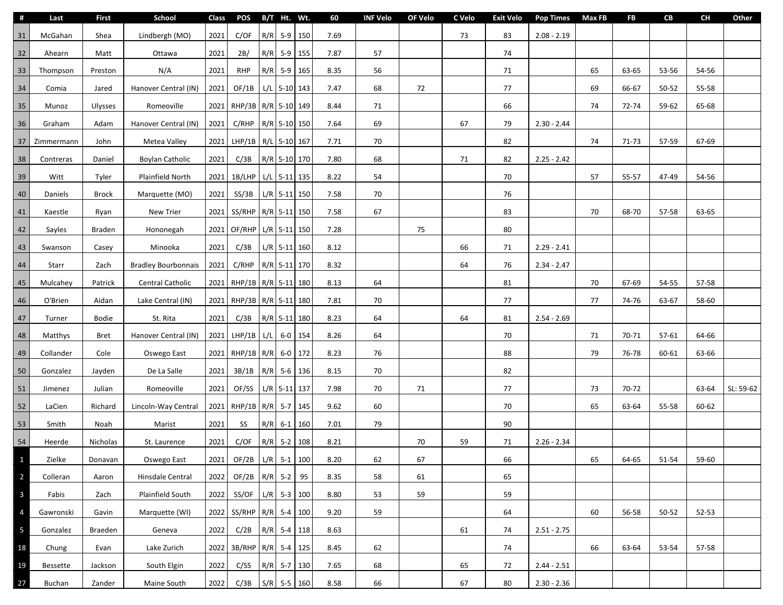| #                       | Last            | <b>First</b>   | School                     | Class | <b>POS</b>               |     | B/T Ht. Wt.    |    | 60   | <b>INF Velo</b> | OF Velo | C Velo | <b>Exit Velo</b> | <b>Pop Times</b> | <b>Max FB</b> | <b>FB</b> | CB    | CH        | Other     |
|-------------------------|-----------------|----------------|----------------------------|-------|--------------------------|-----|----------------|----|------|-----------------|---------|--------|------------------|------------------|---------------|-----------|-------|-----------|-----------|
| 31                      | McGahan         | Shea           | Lindbergh (MO)             | 2021  | C/OF                     |     | R/R 5-9 150    |    | 7.69 |                 |         | 73     | 83               | $2.08 - 2.19$    |               |           |       |           |           |
| 32                      | Ahearn          | Matt           | Ottawa                     | 2021  | 2B/                      |     | R/R 5-9 155    |    | 7.87 | 57              |         |        | 74               |                  |               |           |       |           |           |
| 33                      | Thompson        | Preston        | N/A                        | 2021  | <b>RHP</b>               |     | R/R 5-9 165    |    | 8.35 | 56              |         |        | 71               |                  | 65            | 63-65     | 53-56 | 54-56     |           |
| $34$                    | Comia           | Jared          | Hanover Central (IN)       | 2021  | OF/1B                    |     | $L/L$ 5-10 143 |    | 7.47 | 68              | 72      |        | 77               |                  | 69            | 66-67     | 50-52 | 55-58     |           |
| 35                      | Munoz           | <b>Ulysses</b> | Romeoville                 |       | 2021 RHP/3B R/R 5-10 149 |     |                |    | 8.44 | 71              |         |        | 66               |                  | 74            | 72-74     | 59-62 | 65-68     |           |
| 36                      | Graham          | Adam           | Hanover Central (IN)       | 2021  | C/RHP                    |     | R/R 5-10 150   |    | 7.64 | 69              |         | 67     | 79               | $2.30 - 2.44$    |               |           |       |           |           |
| 37                      | Zimmermann      | John           | Metea Valley               |       | 2021 LHP/1B R/L 5-10 167 |     |                |    | 7.71 | 70              |         |        | 82               |                  | 74            | 71-73     | 57-59 | 67-69     |           |
| 38                      | Contreras       | Daniel         | <b>Boylan Catholic</b>     | 2021  | C/3B                     |     | R/R 5-10 170   |    | 7.80 | 68              |         | 71     | 82               | $2.25 - 2.42$    |               |           |       |           |           |
| 39                      | Witt            | Tyler          | Plainfield North           |       | 2021 1B/LHP              |     | $L/L$ 5-11 135 |    | 8.22 | 54              |         |        | 70               |                  | 57            | 55-57     | 47-49 | 54-56     |           |
| 40                      | Daniels         | <b>Brock</b>   | Marquette (MO)             | 2021  | SS/3B                    |     | $L/R$ 5-11 150 |    | 7.58 | 70              |         |        | 76               |                  |               |           |       |           |           |
| $41\,$                  | Kaestle         | Ryan           | New Trier                  |       | 2021 SS/RHP              |     | R/R 5-11 150   |    | 7.58 | 67              |         |        | 83               |                  | 70            | 68-70     | 57-58 | 63-65     |           |
| 42                      | Sayles          | Braden         | Hononegah                  |       | 2021 OF/RHP              |     | $L/R$ 5-11 150 |    | 7.28 |                 | 75      |        | 80               |                  |               |           |       |           |           |
| 43                      | Swanson         | Casey          | Minooka                    | 2021  | C/3B                     |     | $L/R$ 5-11 160 |    | 8.12 |                 |         | 66     | 71               | $2.29 - 2.41$    |               |           |       |           |           |
| $44\,$                  | Starr           | Zach           | <b>Bradley Bourbonnais</b> | 2021  | C/RHP                    |     | R/R 5-11 170   |    | 8.32 |                 |         | 64     | 76               | $2.34 - 2.47$    |               |           |       |           |           |
| 45                      | Mulcahey        | Patrick        | Central Catholic           |       | 2021 RHP/1B R/R 5-11 180 |     |                |    | 8.13 | 64              |         |        | 81               |                  | 70            | 67-69     | 54-55 | 57-58     |           |
| $46\,$                  | O'Brien         | Aidan          | Lake Central (IN)          |       | 2021 RHP/3B R/R 5-11 180 |     |                |    | 7.81 | 70              |         |        | 77               |                  | 77            | 74-76     | 63-67 | 58-60     |           |
| $47\,$                  | Turner          | Bodie          | St. Rita                   | 2021  | C/3B                     |     | R/R 5-11 180   |    | 8.23 | 64              |         | 64     | 81               | $2.54 - 2.69$    |               |           |       |           |           |
| $\bf 48$                | Matthys         | <b>Bret</b>    | Hanover Central (IN)       | 2021  | LHP/1B                   | L/L | 6-0 154        |    | 8.26 | 64              |         |        | 70               |                  | 71            | 70-71     | 57-61 | 64-66     |           |
| 49                      | Collander       | Cole           | Oswego East                |       | 2021 RHP/1B R/R 6-0 172  |     |                |    | 8.23 | 76              |         |        | 88               |                  | 79            | 76-78     | 60-61 | 63-66     |           |
| 50                      | Gonzalez        | Jayden         | De La Salle                | 2021  | 3B/1B                    |     | R/R 5-6 136    |    | 8.15 | 70              |         |        | 82               |                  |               |           |       |           |           |
| 51                      | Jimenez         | Julian         | Romeoville                 | 2021  | OF/SS                    |     | $L/R$ 5-11 137 |    | 7.98 | 70              | 71      |        | 77               |                  | 73            | 70-72     |       | 63-64     | SL: 59-62 |
| 52                      | LaCien          | Richard        | Lincoln-Way Central        | 2021  | RHP/1B R/R 5-7 145       |     |                |    | 9.62 | 60              |         |        | 70               |                  | 65            | 63-64     | 55-58 | 60-62     |           |
| 53                      | Smith           | Noah           | Marist                     | 2021  | SS                       |     | R/R 6-1 160    |    | 7.01 | 79              |         |        | 90               |                  |               |           |       |           |           |
| 54                      | Heerde          | Nicholas       | St. Laurence               | 2021  | C/OF                     |     | R/R 5-2 108    |    | 8.21 |                 | 70      | 59     | 71               | $2.26 - 2.34$    |               |           |       |           |           |
| $\mathbf{1}$            | Zielke          | Donavan        | Oswego East                | 2021  | OF/2B L/R 5-1 100        |     |                |    | 8.20 | 62              | 67      |        | 66               |                  | 65            | 64-65     | 51-54 | 59-60     |           |
| $\overline{2}$          | Colleran        | Aaron          | Hinsdale Central           | 2022  | OF/2B                    |     | $R/R$ 5-2      | 95 | 8.35 | 58              | 61      |        | 65               |                  |               |           |       |           |           |
| $\mathbf{3}$            | Fabis           | Zach           | Plainfield South           | 2022  | SS/OF                    |     | $L/R$ 5-3 100  |    | 8.80 | 53              | 59      |        | 59               |                  |               |           |       |           |           |
| 4                       | Gawronski       | Gavin          | Marquette (WI)             | 2022  | $SS/RHP$ R/R 5-4 100     |     |                |    | 9.20 | 59              |         |        | 64               |                  | 60            | 56-58     | 50-52 | $52 - 53$ |           |
| $\overline{\mathbf{5}}$ | Gonzalez        | Braeden        | Geneva                     | 2022  | C/2B                     |     | R/R 5-4 118    |    | 8.63 |                 |         | 61     | 74               | $2.51 - 2.75$    |               |           |       |           |           |
| 18                      | Chung           | Evan           | Lake Zurich                | 2022  | 3B/RHP                   |     | R/R 5-4 125    |    | 8.45 | 62              |         |        | 74               |                  | 66            | 63-64     | 53-54 | 57-58     |           |
| 19                      | <b>Bessette</b> | Jackson        | South Elgin                | 2022  | C/SS                     |     | R/R 5-7 130    |    | 7.65 | 68              |         | 65     | 72               | $2.44 - 2.51$    |               |           |       |           |           |
| 27                      | Buchan          | Zander         | Maine South                | 2022  | C/3B                     |     | $S/R$ 5-5 160  |    | 8.58 | 66              |         | 67     | 80               | $2.30 - 2.36$    |               |           |       |           |           |